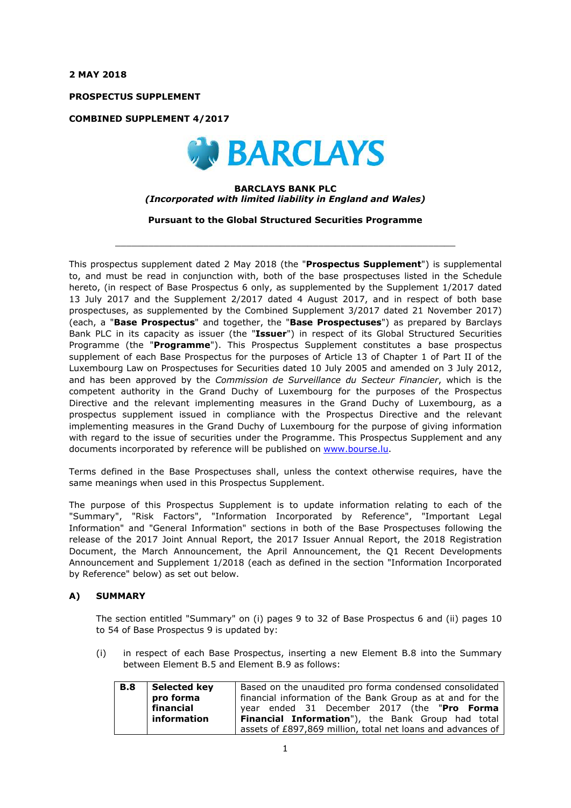**2 MAY 2018**

**PROSPECTUS SUPPLEMENT**

**COMBINED SUPPLEMENT 4/2017**



#### **BARCLAYS BANK PLC** *(Incorporated with limited liability in England and Wales)*

**Pursuant to the Global Structured Securities Programme**

 $\_$  ,  $\_$  ,  $\_$  ,  $\_$  ,  $\_$  ,  $\_$  ,  $\_$  ,  $\_$  ,  $\_$  ,  $\_$  ,  $\_$  ,  $\_$  ,  $\_$  ,  $\_$  ,  $\_$  ,  $\_$  ,  $\_$  ,  $\_$  ,  $\_$  ,  $\_$  ,  $\_$  ,  $\_$  ,  $\_$  ,  $\_$  ,  $\_$  ,  $\_$  ,  $\_$  ,  $\_$  ,  $\_$  ,  $\_$  ,  $\_$  ,  $\_$  ,  $\_$  ,  $\_$  ,  $\_$  ,  $\_$  ,  $\_$  ,

This prospectus supplement dated 2 May 2018 (the "**Prospectus Supplement**") is supplemental to, and must be read in conjunction with, both of the base prospectuses listed in the Schedule hereto, (in respect of Base Prospectus 6 only, as supplemented by the Supplement 1/2017 dated 13 July 2017 and the Supplement 2/2017 dated 4 August 2017, and in respect of both base prospectuses, as supplemented by the Combined Supplement 3/2017 dated 21 November 2017) (each, a "**Base Prospectus**" and together, the "**Base Prospectuses**") as prepared by Barclays Bank PLC in its capacity as issuer (the "**Issuer**") in respect of its Global Structured Securities Programme (the "**Programme**"). This Prospectus Supplement constitutes a base prospectus supplement of each Base Prospectus for the purposes of Article 13 of Chapter 1 of Part II of the Luxembourg Law on Prospectuses for Securities dated 10 July 2005 and amended on 3 July 2012, and has been approved by the *Commission de Surveillance du Secteur Financier*, which is the competent authority in the Grand Duchy of Luxembourg for the purposes of the Prospectus Directive and the relevant implementing measures in the Grand Duchy of Luxembourg, as a prospectus supplement issued in compliance with the Prospectus Directive and the relevant implementing measures in the Grand Duchy of Luxembourg for the purpose of giving information with regard to the issue of securities under the Programme. This Prospectus Supplement and any documents incorporated by reference will be published on www.bourse.lu.

Terms defined in the Base Prospectuses shall, unless the context otherwise requires, have the same meanings when used in this Prospectus Supplement.

The purpose of this Prospectus Supplement is to update information relating to each of the "Summary", "Risk Factors", "Information Incorporated by Reference", "Important Legal Information" and "General Information" sections in both of the Base Prospectuses following the release of the 2017 Joint Annual Report, the 2017 Issuer Annual Report, the 2018 Registration Document, the March Announcement, the April Announcement, the Q1 Recent Developments Announcement and Supplement 1/2018 (each as defined in the section "Information Incorporated by Reference" below) as set out below.

## **A) SUMMARY**

The section entitled "Summary" on (i) pages 9 to 32 of Base Prospectus 6 and (ii) pages 10 to 54 of Base Prospectus 9 is updated by:

(i) in respect of each Base Prospectus, inserting a new Element B.8 into the Summary between Element B.5 and Element B.9 as follows:

| <b>B.8</b> | Selected key | Based on the unaudited pro forma condensed consolidated     |  |  |
|------------|--------------|-------------------------------------------------------------|--|--|
|            | pro forma    | financial information of the Bank Group as at and for the   |  |  |
|            | financial    | year ended 31 December 2017 (the "Pro Forma                 |  |  |
|            | information  | Financial Information"), the Bank Group had total           |  |  |
|            |              | assets of £897,869 million, total net loans and advances of |  |  |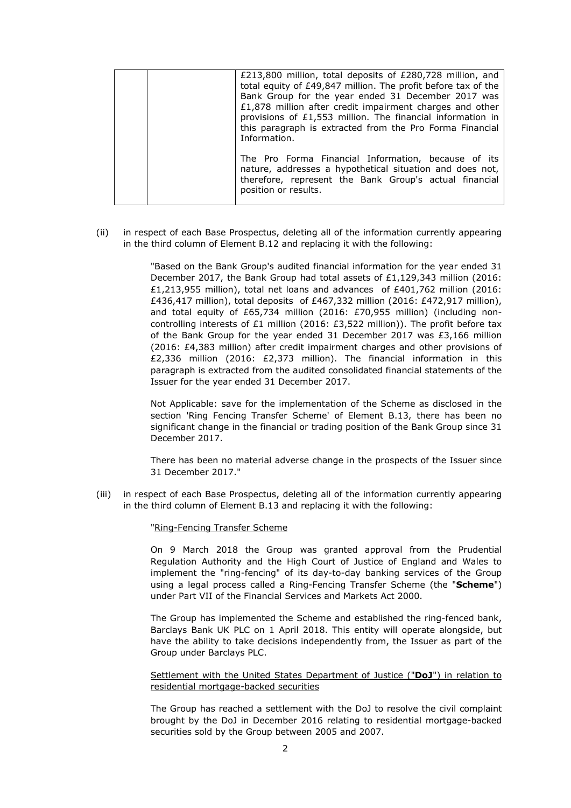| £213,800 million, total deposits of £280,728 million, and<br>total equity of £49,847 million. The profit before tax of the<br>Bank Group for the year ended 31 December 2017 was<br>£1,878 million after credit impairment charges and other<br>provisions of £1,553 million. The financial information in<br>this paragraph is extracted from the Pro Forma Financial<br>Information. |
|----------------------------------------------------------------------------------------------------------------------------------------------------------------------------------------------------------------------------------------------------------------------------------------------------------------------------------------------------------------------------------------|
| The Pro Forma Financial Information, because of its<br>nature, addresses a hypothetical situation and does not,<br>therefore, represent the Bank Group's actual financial<br>position or results.                                                                                                                                                                                      |

(ii) in respect of each Base Prospectus, deleting all of the information currently appearing in the third column of Element B.12 and replacing it with the following:

> "Based on the Bank Group's audited financial information for the year ended 31 December 2017, the Bank Group had total assets of £1,129,343 million (2016: £1,213,955 million), total net loans and advances of £401,762 million (2016: £436,417 million), total deposits of £467,332 million (2016: £472,917 million), and total equity of £65,734 million (2016: £70,955 million) (including noncontrolling interests of £1 million (2016: £3,522 million)). The profit before tax of the Bank Group for the year ended 31 December 2017 was £3,166 million (2016: £4,383 million) after credit impairment charges and other provisions of £2,336 million (2016: £2,373 million). The financial information in this paragraph is extracted from the audited consolidated financial statements of the Issuer for the year ended 31 December 2017.

> Not Applicable: save for the implementation of the Scheme as disclosed in the section 'Ring Fencing Transfer Scheme' of Element B.13, there has been no significant change in the financial or trading position of the Bank Group since 31 December 2017.

> There has been no material adverse change in the prospects of the Issuer since 31 December 2017."

(iii) in respect of each Base Prospectus, deleting all of the information currently appearing in the third column of Element B.13 and replacing it with the following:

"Ring-Fencing Transfer Scheme

On 9 March 2018 the Group was granted approval from the Prudential Regulation Authority and the High Court of Justice of England and Wales to implement the "ring-fencing" of its day-to-day banking services of the Group using a legal process called a Ring-Fencing Transfer Scheme (the "**Scheme**") under Part VII of the Financial Services and Markets Act 2000.

The Group has implemented the Scheme and established the ring-fenced bank, Barclays Bank UK PLC on 1 April 2018. This entity will operate alongside, but have the ability to take decisions independently from, the Issuer as part of the Group under Barclays PLC.

#### Settlement with the United States Department of Justice ("**DoJ**") in relation to residential mortgage-backed securities

The Group has reached a settlement with the DoJ to resolve the civil complaint brought by the DoJ in December 2016 relating to residential mortgage-backed securities sold by the Group between 2005 and 2007.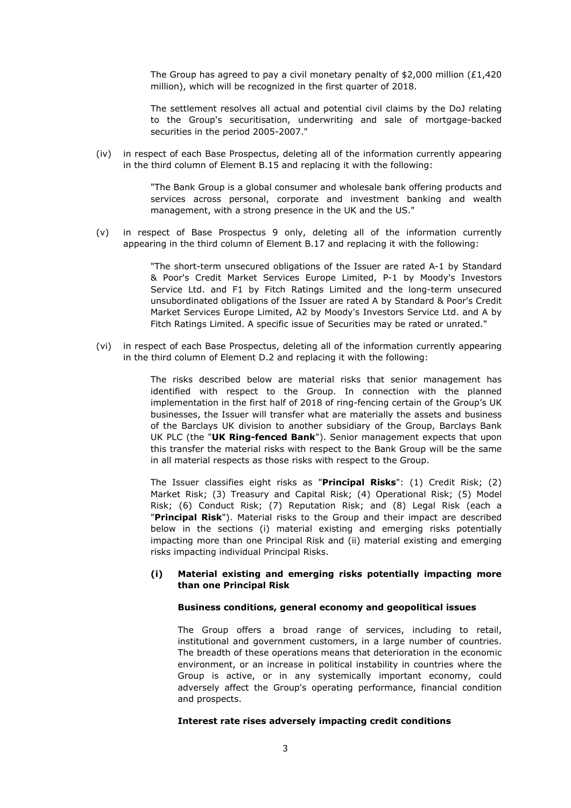The Group has agreed to pay a civil monetary penalty of \$2,000 million (£1,420) million), which will be recognized in the first quarter of 2018.

The settlement resolves all actual and potential civil claims by the DoJ relating to the Group's securitisation, underwriting and sale of mortgage-backed securities in the period 2005-2007."

(iv) in respect of each Base Prospectus, deleting all of the information currently appearing in the third column of Element B.15 and replacing it with the following:

> "The Bank Group is a global consumer and wholesale bank offering products and services across personal, corporate and investment banking and wealth management, with a strong presence in the UK and the US."

(v) in respect of Base Prospectus 9 only, deleting all of the information currently appearing in the third column of Element B.17 and replacing it with the following:

> "The short-term unsecured obligations of the Issuer are rated A-1 by Standard & Poor's Credit Market Services Europe Limited, P-1 by Moody's Investors Service Ltd. and F1 by Fitch Ratings Limited and the long-term unsecured unsubordinated obligations of the Issuer are rated A by Standard & Poor's Credit Market Services Europe Limited, A2 by Moody's Investors Service Ltd. and A by Fitch Ratings Limited. A specific issue of Securities may be rated or unrated."

(vi) in respect of each Base Prospectus, deleting all of the information currently appearing in the third column of Element D.2 and replacing it with the following:

> The risks described below are material risks that senior management has identified with respect to the Group. In connection with the planned implementation in the first half of 2018 of ring-fencing certain of the Group's UK businesses, the Issuer will transfer what are materially the assets and business of the Barclays UK division to another subsidiary of the Group, Barclays Bank UK PLC (the "**UK Ring-fenced Bank**"). Senior management expects that upon this transfer the material risks with respect to the Bank Group will be the same in all material respects as those risks with respect to the Group.

> The Issuer classifies eight risks as "**Principal Risks**": (1) Credit Risk; (2) Market Risk; (3) Treasury and Capital Risk; (4) Operational Risk; (5) Model Risk; (6) Conduct Risk; (7) Reputation Risk; and (8) Legal Risk (each a "**Principal Risk**"). Material risks to the Group and their impact are described below in the sections (i) material existing and emerging risks potentially impacting more than one Principal Risk and (ii) material existing and emerging risks impacting individual Principal Risks.

## **(i) Material existing and emerging risks potentially impacting more than one Principal Risk**

#### **Business conditions, general economy and geopolitical issues**

The Group offers a broad range of services, including to retail, institutional and government customers, in a large number of countries. The breadth of these operations means that deterioration in the economic environment, or an increase in political instability in countries where the Group is active, or in any systemically important economy, could adversely affect the Group's operating performance, financial condition and prospects.

#### **Interest rate rises adversely impacting credit conditions**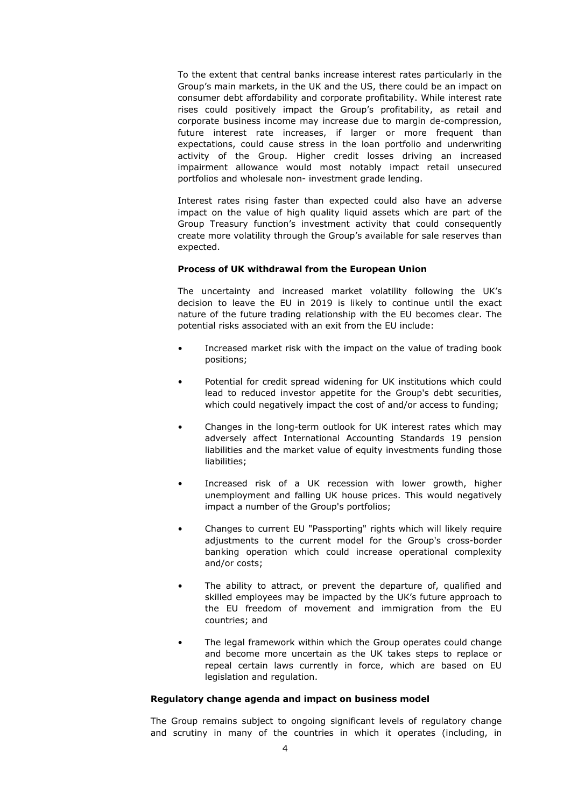To the extent that central banks increase interest rates particularly in the Group's main markets, in the UK and the US, there could be an impact on consumer debt affordability and corporate profitability. While interest rate rises could positively impact the Group's profitability, as retail and corporate business income may increase due to margin de-compression, future interest rate increases, if larger or more frequent than expectations, could cause stress in the loan portfolio and underwriting activity of the Group. Higher credit losses driving an increased impairment allowance would most notably impact retail unsecured portfolios and wholesale non- investment grade lending.

Interest rates rising faster than expected could also have an adverse impact on the value of high quality liquid assets which are part of the Group Treasury function's investment activity that could consequently create more volatility through the Group's available for sale reserves than expected.

#### **Process of UK withdrawal from the European Union**

The uncertainty and increased market volatility following the UK's decision to leave the EU in 2019 is likely to continue until the exact nature of the future trading relationship with the EU becomes clear. The potential risks associated with an exit from the EU include:

- Increased market risk with the impact on the value of trading book positions;
- Potential for credit spread widening for UK institutions which could lead to reduced investor appetite for the Group's debt securities, which could negatively impact the cost of and/or access to funding;
- Changes in the long-term outlook for UK interest rates which may adversely affect International Accounting Standards 19 pension liabilities and the market value of equity investments funding those liabilities;
- Increased risk of a UK recession with lower growth, higher unemployment and falling UK house prices. This would negatively impact a number of the Group's portfolios;
- Changes to current EU "Passporting" rights which will likely require adjustments to the current model for the Group's cross-border banking operation which could increase operational complexity and/or costs;
- The ability to attract, or prevent the departure of, qualified and skilled employees may be impacted by the UK's future approach to the EU freedom of movement and immigration from the EU countries; and
- The legal framework within which the Group operates could change and become more uncertain as the UK takes steps to replace or repeal certain laws currently in force, which are based on EU legislation and regulation.

## **Regulatory change agenda and impact on business model**

The Group remains subject to ongoing significant levels of regulatory change and scrutiny in many of the countries in which it operates (including, in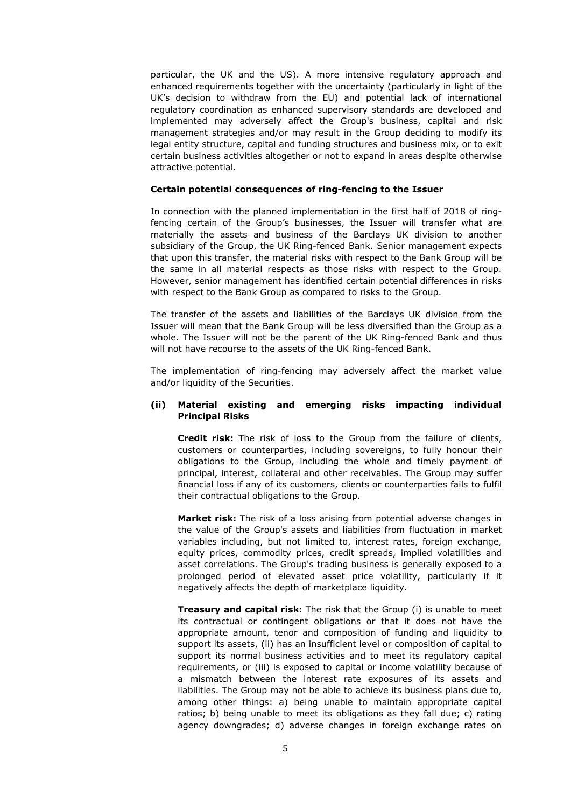particular, the UK and the US). A more intensive regulatory approach and enhanced requirements together with the uncertainty (particularly in light of the UK's decision to withdraw from the EU) and potential lack of international regulatory coordination as enhanced supervisory standards are developed and implemented may adversely affect the Group's business, capital and risk management strategies and/or may result in the Group deciding to modify its legal entity structure, capital and funding structures and business mix, or to exit certain business activities altogether or not to expand in areas despite otherwise attractive potential.

#### **Certain potential consequences of ring-fencing to the Issuer**

In connection with the planned implementation in the first half of 2018 of ringfencing certain of the Group's businesses, the Issuer will transfer what are materially the assets and business of the Barclays UK division to another subsidiary of the Group, the UK Ring-fenced Bank. Senior management expects that upon this transfer, the material risks with respect to the Bank Group will be the same in all material respects as those risks with respect to the Group. However, senior management has identified certain potential differences in risks with respect to the Bank Group as compared to risks to the Group.

The transfer of the assets and liabilities of the Barclays UK division from the Issuer will mean that the Bank Group will be less diversified than the Group as a whole. The Issuer will not be the parent of the UK Ring-fenced Bank and thus will not have recourse to the assets of the UK Ring-fenced Bank.

The implementation of ring-fencing may adversely affect the market value and/or liquidity of the Securities.

## **(ii) Material existing and emerging risks impacting individual Principal Risks**

**Credit risk:** The risk of loss to the Group from the failure of clients, customers or counterparties, including sovereigns, to fully honour their obligations to the Group, including the whole and timely payment of principal, interest, collateral and other receivables. The Group may suffer financial loss if any of its customers, clients or counterparties fails to fulfil their contractual obligations to the Group.

**Market risk:** The risk of a loss arising from potential adverse changes in the value of the Group's assets and liabilities from fluctuation in market variables including, but not limited to, interest rates, foreign exchange, equity prices, commodity prices, credit spreads, implied volatilities and asset correlations. The Group's trading business is generally exposed to a prolonged period of elevated asset price volatility, particularly if it negatively affects the depth of marketplace liquidity.

**Treasury and capital risk:** The risk that the Group (i) is unable to meet its contractual or contingent obligations or that it does not have the appropriate amount, tenor and composition of funding and liquidity to support its assets, (ii) has an insufficient level or composition of capital to support its normal business activities and to meet its regulatory capital requirements, or (iii) is exposed to capital or income volatility because of a mismatch between the interest rate exposures of its assets and liabilities. The Group may not be able to achieve its business plans due to, among other things: a) being unable to maintain appropriate capital ratios; b) being unable to meet its obligations as they fall due; c) rating agency downgrades; d) adverse changes in foreign exchange rates on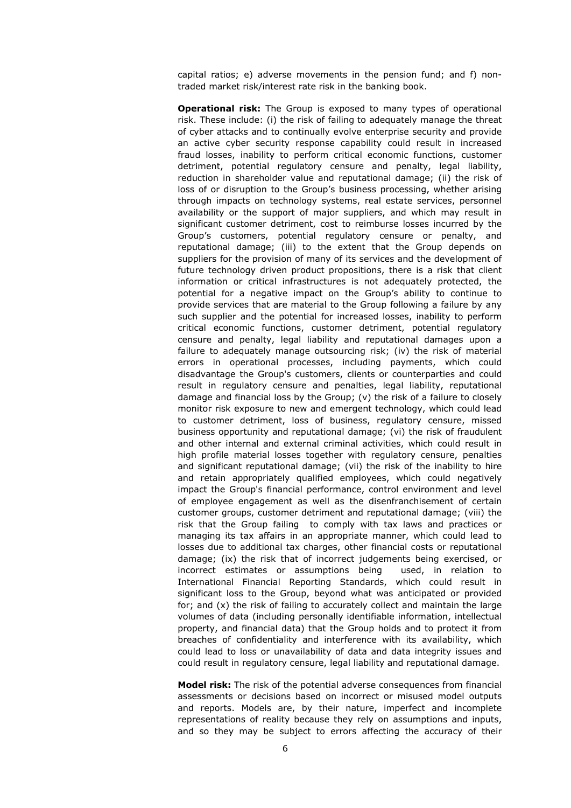capital ratios; e) adverse movements in the pension fund; and f) nontraded market risk/interest rate risk in the banking book.

**Operational risk:** The Group is exposed to many types of operational risk. These include: (i) the risk of failing to adequately manage the threat of cyber attacks and to continually evolve enterprise security and provide an active cyber security response capability could result in increased fraud losses, inability to perform critical economic functions, customer detriment, potential regulatory censure and penalty, legal liability, reduction in shareholder value and reputational damage; (ii) the risk of loss of or disruption to the Group's business processing, whether arising through impacts on technology systems, real estate services, personnel availability or the support of major suppliers, and which may result in significant customer detriment, cost to reimburse losses incurred by the Group's customers, potential regulatory censure or penalty, and reputational damage; (iii) to the extent that the Group depends on suppliers for the provision of many of its services and the development of future technology driven product propositions, there is a risk that client information or critical infrastructures is not adequately protected, the potential for a negative impact on the Group's ability to continue to provide services that are material to the Group following a failure by any such supplier and the potential for increased losses, inability to perform critical economic functions, customer detriment, potential regulatory censure and penalty, legal liability and reputational damages upon a failure to adequately manage outsourcing risk; (iv) the risk of material errors in operational processes, including payments, which could disadvantage the Group's customers, clients or counterparties and could result in regulatory censure and penalties, legal liability, reputational damage and financial loss by the Group; (v) the risk of a failure to closely monitor risk exposure to new and emergent technology, which could lead to customer detriment, loss of business, regulatory censure, missed business opportunity and reputational damage; (vi) the risk of fraudulent and other internal and external criminal activities, which could result in high profile material losses together with regulatory censure, penalties and significant reputational damage; (vii) the risk of the inability to hire and retain appropriately qualified employees, which could negatively impact the Group's financial performance, control environment and level of employee engagement as well as the disenfranchisement of certain customer groups, customer detriment and reputational damage; (viii) the risk that the Group failing to comply with tax laws and practices or managing its tax affairs in an appropriate manner, which could lead to losses due to additional tax charges, other financial costs or reputational damage; (ix) the risk that of incorrect judgements being exercised, or incorrect estimates or assumptions being used, in relation to International Financial Reporting Standards, which could result in significant loss to the Group, beyond what was anticipated or provided for; and (x) the risk of failing to accurately collect and maintain the large volumes of data (including personally identifiable information, intellectual property, and financial data) that the Group holds and to protect it from breaches of confidentiality and interference with its availability, which could lead to loss or unavailability of data and data integrity issues and could result in regulatory censure, legal liability and reputational damage.

**Model risk:** The risk of the potential adverse consequences from financial assessments or decisions based on incorrect or misused model outputs and reports. Models are, by their nature, imperfect and incomplete representations of reality because they rely on assumptions and inputs, and so they may be subject to errors affecting the accuracy of their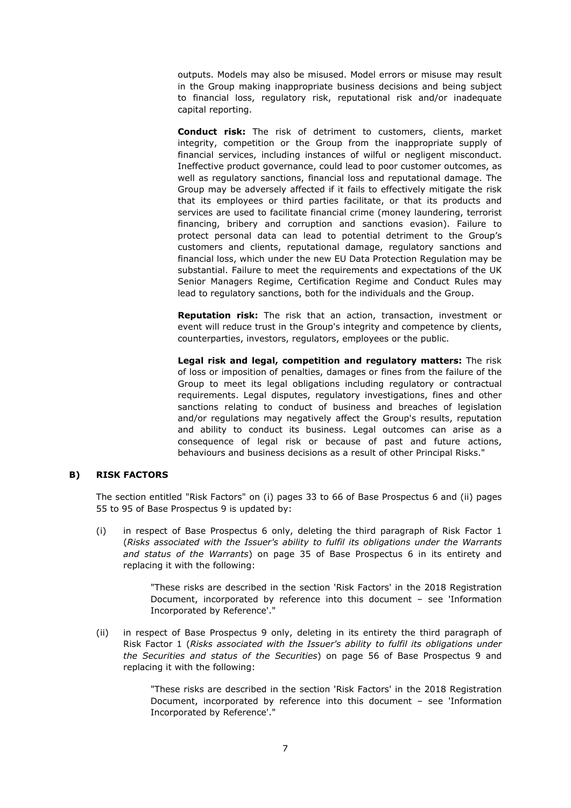outputs. Models may also be misused. Model errors or misuse may result in the Group making inappropriate business decisions and being subject to financial loss, regulatory risk, reputational risk and/or inadequate capital reporting.

**Conduct risk:** The risk of detriment to customers, clients, market integrity, competition or the Group from the inappropriate supply of financial services, including instances of wilful or negligent misconduct. Ineffective product governance, could lead to poor customer outcomes, as well as regulatory sanctions, financial loss and reputational damage. The Group may be adversely affected if it fails to effectively mitigate the risk that its employees or third parties facilitate, or that its products and services are used to facilitate financial crime (money laundering, terrorist financing, bribery and corruption and sanctions evasion). Failure to protect personal data can lead to potential detriment to the Group's customers and clients, reputational damage, regulatory sanctions and financial loss, which under the new EU Data Protection Regulation may be substantial. Failure to meet the requirements and expectations of the UK Senior Managers Regime, Certification Regime and Conduct Rules may lead to regulatory sanctions, both for the individuals and the Group.

**Reputation risk:** The risk that an action, transaction, investment or event will reduce trust in the Group's integrity and competence by clients, counterparties, investors, regulators, employees or the public.

**Legal risk and legal, competition and regulatory matters:** The risk of loss or imposition of penalties, damages or fines from the failure of the Group to meet its legal obligations including regulatory or contractual requirements. Legal disputes, regulatory investigations, fines and other sanctions relating to conduct of business and breaches of legislation and/or regulations may negatively affect the Group's results, reputation and ability to conduct its business. Legal outcomes can arise as a consequence of legal risk or because of past and future actions, behaviours and business decisions as a result of other Principal Risks."

## **B) RISK FACTORS**

The section entitled "Risk Factors" on (i) pages 33 to 66 of Base Prospectus 6 and (ii) pages 55 to 95 of Base Prospectus 9 is updated by:

(i) in respect of Base Prospectus 6 only, deleting the third paragraph of Risk Factor 1 (*Risks associated with the Issuer's ability to fulfil its obligations under the Warrants and status of the Warrants*) on page 35 of Base Prospectus 6 in its entirety and replacing it with the following:

> "These risks are described in the section 'Risk Factors' in the 2018 Registration Document, incorporated by reference into this document – see 'Information Incorporated by Reference'."

(ii) in respect of Base Prospectus 9 only, deleting in its entirety the third paragraph of Risk Factor 1 (*Risks associated with the Issuer's ability to fulfil its obligations under the Securities and status of the Securities*) on page 56 of Base Prospectus 9 and replacing it with the following:

> "These risks are described in the section 'Risk Factors' in the 2018 Registration Document, incorporated by reference into this document – see 'Information Incorporated by Reference'."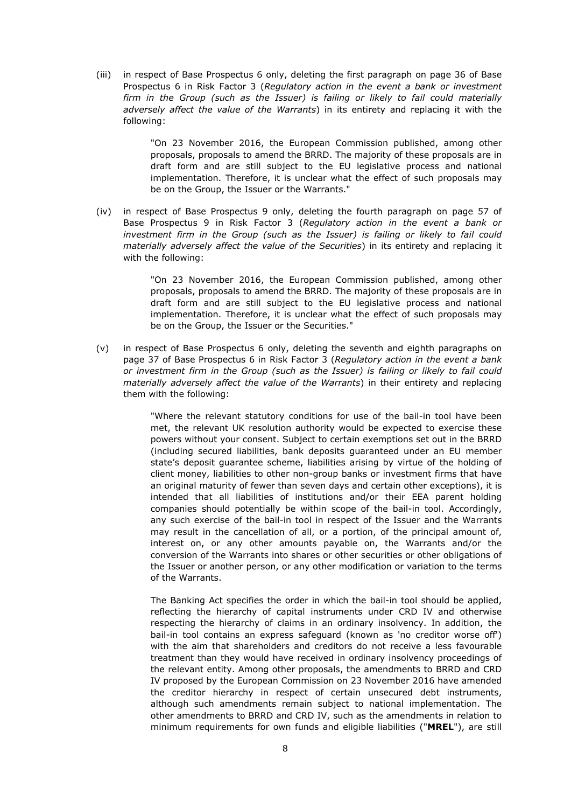(iii) in respect of Base Prospectus 6 only, deleting the first paragraph on page 36 of Base Prospectus 6 in Risk Factor 3 (*Regulatory action in the event a bank or investment firm in the Group (such as the Issuer) is failing or likely to fail could materially adversely affect the value of the Warrants*) in its entirety and replacing it with the following:

> "On 23 November 2016, the European Commission published, among other proposals, proposals to amend the BRRD. The majority of these proposals are in draft form and are still subject to the EU legislative process and national implementation. Therefore, it is unclear what the effect of such proposals may be on the Group, the Issuer or the Warrants."

(iv) in respect of Base Prospectus 9 only, deleting the fourth paragraph on page 57 of Base Prospectus 9 in Risk Factor 3 (*Regulatory action in the event a bank or*  investment firm in the Group (such as the Issuer) is failing or likely to fail could *materially adversely affect the value of the Securities*) in its entirety and replacing it with the following:

> "On 23 November 2016, the European Commission published, among other proposals, proposals to amend the BRRD. The majority of these proposals are in draft form and are still subject to the EU legislative process and national implementation. Therefore, it is unclear what the effect of such proposals may be on the Group, the Issuer or the Securities."

(v) in respect of Base Prospectus 6 only, deleting the seventh and eighth paragraphs on page 37 of Base Prospectus 6 in Risk Factor 3 (*Regulatory action in the event a bank or investment firm in the Group (such as the Issuer) is failing or likely to fail could materially adversely affect the value of the Warrants*) in their entirety and replacing them with the following:

> "Where the relevant statutory conditions for use of the bail-in tool have been met, the relevant UK resolution authority would be expected to exercise these powers without your consent. Subject to certain exemptions set out in the BRRD (including secured liabilities, bank deposits guaranteed under an EU member state's deposit guarantee scheme, liabilities arising by virtue of the holding of client money, liabilities to other non-group banks or investment firms that have an original maturity of fewer than seven days and certain other exceptions), it is intended that all liabilities of institutions and/or their EEA parent holding companies should potentially be within scope of the bail-in tool. Accordingly, any such exercise of the bail-in tool in respect of the Issuer and the Warrants may result in the cancellation of all, or a portion, of the principal amount of, interest on, or any other amounts payable on, the Warrants and/or the conversion of the Warrants into shares or other securities or other obligations of the Issuer or another person, or any other modification or variation to the terms of the Warrants.

> The Banking Act specifies the order in which the bail-in tool should be applied, reflecting the hierarchy of capital instruments under CRD IV and otherwise respecting the hierarchy of claims in an ordinary insolvency. In addition, the bail-in tool contains an express safeguard (known as 'no creditor worse off') with the aim that shareholders and creditors do not receive a less favourable treatment than they would have received in ordinary insolvency proceedings of the relevant entity. Among other proposals, the amendments to BRRD and CRD IV proposed by the European Commission on 23 November 2016 have amended the creditor hierarchy in respect of certain unsecured debt instruments, although such amendments remain subject to national implementation. The other amendments to BRRD and CRD IV, such as the amendments in relation to minimum requirements for own funds and eligible liabilities ("**MREL**"), are still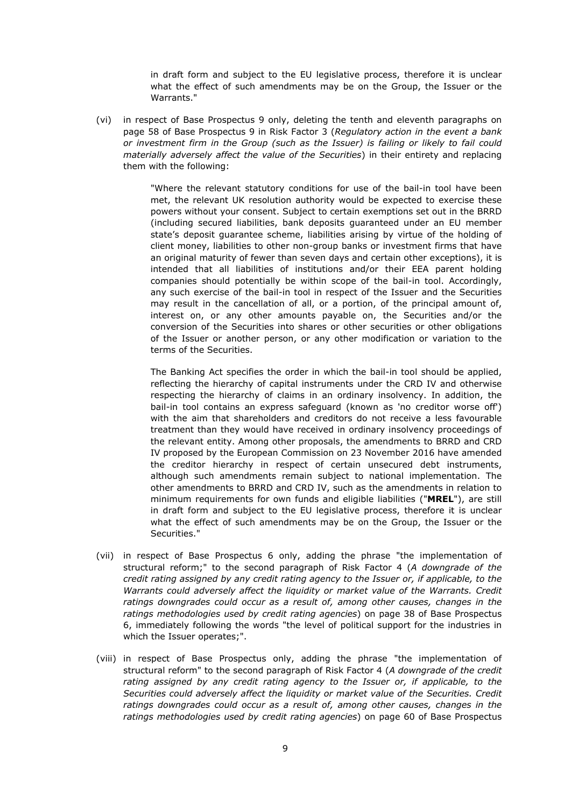in draft form and subject to the EU legislative process, therefore it is unclear what the effect of such amendments may be on the Group, the Issuer or the Warrants."

(vi) in respect of Base Prospectus 9 only, deleting the tenth and eleventh paragraphs on page 58 of Base Prospectus 9 in Risk Factor 3 (*Regulatory action in the event a bank or investment firm in the Group (such as the Issuer) is failing or likely to fail could materially adversely affect the value of the Securities*) in their entirety and replacing them with the following:

> "Where the relevant statutory conditions for use of the bail-in tool have been met, the relevant UK resolution authority would be expected to exercise these powers without your consent. Subject to certain exemptions set out in the BRRD (including secured liabilities, bank deposits guaranteed under an EU member state's deposit guarantee scheme, liabilities arising by virtue of the holding of client money, liabilities to other non-group banks or investment firms that have an original maturity of fewer than seven days and certain other exceptions), it is intended that all liabilities of institutions and/or their EEA parent holding companies should potentially be within scope of the bail-in tool. Accordingly, any such exercise of the bail-in tool in respect of the Issuer and the Securities may result in the cancellation of all, or a portion, of the principal amount of, interest on, or any other amounts payable on, the Securities and/or the conversion of the Securities into shares or other securities or other obligations of the Issuer or another person, or any other modification or variation to the terms of the Securities.

> The Banking Act specifies the order in which the bail-in tool should be applied, reflecting the hierarchy of capital instruments under the CRD IV and otherwise respecting the hierarchy of claims in an ordinary insolvency. In addition, the bail-in tool contains an express safeguard (known as 'no creditor worse off') with the aim that shareholders and creditors do not receive a less favourable treatment than they would have received in ordinary insolvency proceedings of the relevant entity. Among other proposals, the amendments to BRRD and CRD IV proposed by the European Commission on 23 November 2016 have amended the creditor hierarchy in respect of certain unsecured debt instruments, although such amendments remain subject to national implementation. The other amendments to BRRD and CRD IV, such as the amendments in relation to minimum requirements for own funds and eligible liabilities ("**MREL**"), are still in draft form and subject to the EU legislative process, therefore it is unclear what the effect of such amendments may be on the Group, the Issuer or the Securities."

- (vii) in respect of Base Prospectus 6 only, adding the phrase "the implementation of structural reform;" to the second paragraph of Risk Factor 4 (*A downgrade of the credit rating assigned by any credit rating agency to the Issuer or, if applicable, to the Warrants could adversely affect the liquidity or market value of the Warrants. Credit ratings downgrades could occur as a result of, among other causes, changes in the ratings methodologies used by credit rating agencies*) on page 38 of Base Prospectus 6, immediately following the words "the level of political support for the industries in which the Issuer operates;".
- (viii) in respect of Base Prospectus only, adding the phrase "the implementation of structural reform" to the second paragraph of Risk Factor 4 (*A downgrade of the credit*  rating assigned by any credit rating agency to the Issuer or, if applicable, to the *Securities could adversely affect the liquidity or market value of the Securities. Credit ratings downgrades could occur as a result of, among other causes, changes in the ratings methodologies used by credit rating agencies*) on page 60 of Base Prospectus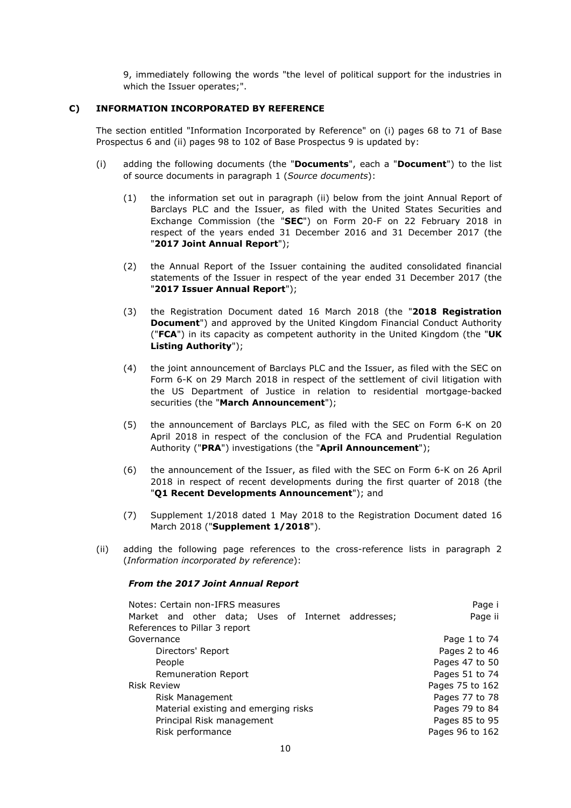9, immediately following the words "the level of political support for the industries in which the Issuer operates;".

## **C) INFORMATION INCORPORATED BY REFERENCE**

The section entitled "Information Incorporated by Reference" on (i) pages 68 to 71 of Base Prospectus 6 and (ii) pages 98 to 102 of Base Prospectus 9 is updated by:

- (i) adding the following documents (the "**Documents**", each a "**Document**") to the list of source documents in paragraph 1 (*Source documents*):
	- (1) the information set out in paragraph (ii) below from the joint Annual Report of Barclays PLC and the Issuer, as filed with the United States Securities and Exchange Commission (the "**SEC**") on Form 20-F on 22 February 2018 in respect of the years ended 31 December 2016 and 31 December 2017 (the "**2017 Joint Annual Report**");
	- (2) the Annual Report of the Issuer containing the audited consolidated financial statements of the Issuer in respect of the year ended 31 December 2017 (the "**2017 Issuer Annual Report**");
	- (3) the Registration Document dated 16 March 2018 (the "**2018 Registration Document**") and approved by the United Kingdom Financial Conduct Authority ("**FCA**") in its capacity as competent authority in the United Kingdom (the "**UK Listing Authority**");
	- (4) the joint announcement of Barclays PLC and the Issuer, as filed with the SEC on Form 6-K on 29 March 2018 in respect of the settlement of civil litigation with the US Department of Justice in relation to residential mortgage-backed securities (the "**March Announcement**");
	- (5) the announcement of Barclays PLC, as filed with the SEC on Form 6-K on 20 April 2018 in respect of the conclusion of the FCA and Prudential Regulation Authority ("**PRA**") investigations (the "**April Announcement**");
	- (6) the announcement of the Issuer, as filed with the SEC on Form 6-K on 26 April 2018 in respect of recent developments during the first quarter of 2018 (the "**Q1 Recent Developments Announcement**"); and
	- (7) Supplement 1/2018 dated 1 May 2018 to the Registration Document dated 16 March 2018 ("**Supplement 1/2018**").
- (ii) adding the following page references to the cross-reference lists in paragraph 2 (*Information incorporated by reference*):

#### *From the 2017 Joint Annual Report*

| Notes: Certain non-IFRS measures                   | Page i          |
|----------------------------------------------------|-----------------|
| Market and other data; Uses of Internet addresses; | Page ii         |
| References to Pillar 3 report                      |                 |
| Governance                                         | Page 1 to 74    |
| Directors' Report                                  | Pages 2 to 46   |
| People                                             | Pages 47 to 50  |
| Remuneration Report                                | Pages 51 to 74  |
| <b>Risk Review</b>                                 | Pages 75 to 162 |
| Risk Management                                    | Pages 77 to 78  |
| Material existing and emerging risks               | Pages 79 to 84  |
| Principal Risk management                          | Pages 85 to 95  |
| Risk performance                                   | Pages 96 to 162 |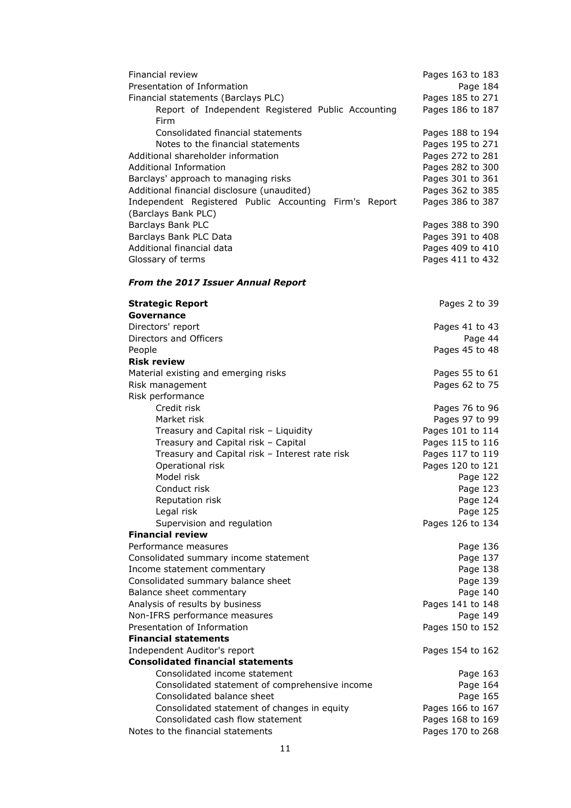| <b>Financial review</b>                                                                               | Pages 163 to 183                     |
|-------------------------------------------------------------------------------------------------------|--------------------------------------|
| Presentation of Information                                                                           | Page 184                             |
| Financial statements (Barclays PLC)                                                                   | Pages 185 to 271                     |
| Report of Independent Registered Public Accounting                                                    | Pages 186 to 187                     |
| Firm                                                                                                  |                                      |
| Consolidated financial statements                                                                     | Pages 188 to 194                     |
| Notes to the financial statements                                                                     | Pages 195 to 271                     |
| Additional shareholder information                                                                    | Pages 272 to 281                     |
| Additional Information                                                                                | Pages 282 to 300                     |
| Barclays' approach to managing risks                                                                  | Pages 301 to 361                     |
| Additional financial disclosure (unaudited)<br>Independent Registered Public Accounting Firm's Report | Pages 362 to 385                     |
| (Barclays Bank PLC)                                                                                   | Pages 386 to 387                     |
| Barclays Bank PLC                                                                                     | Pages 388 to 390                     |
| Barclays Bank PLC Data                                                                                | Pages 391 to 408                     |
| Additional financial data                                                                             | Pages 409 to 410                     |
| Glossary of terms                                                                                     | Pages 411 to 432                     |
|                                                                                                       |                                      |
| <b>From the 2017 Issuer Annual Report</b>                                                             |                                      |
| <b>Strategic Report</b>                                                                               | Pages 2 to 39                        |
| Governance                                                                                            |                                      |
| Directors' report                                                                                     | Pages 41 to 43                       |
| Directors and Officers                                                                                | Page 44                              |
| People                                                                                                | Pages 45 to 48                       |
| <b>Risk review</b>                                                                                    |                                      |
| Material existing and emerging risks                                                                  | Pages 55 to 61                       |
| Risk management                                                                                       | Pages 62 to 75                       |
| Risk performance                                                                                      |                                      |
| Credit risk<br>Market risk                                                                            | Pages 76 to 96<br>Pages 97 to 99     |
| Treasury and Capital risk - Liquidity                                                                 | Pages 101 to 114                     |
| Treasury and Capital risk - Capital                                                                   | Pages 115 to 116                     |
| Treasury and Capital risk - Interest rate risk                                                        | Pages 117 to 119                     |
| Operational risk                                                                                      | Pages 120 to 121                     |
| Model risk                                                                                            | Page 122                             |
| Conduct risk                                                                                          | Page 123                             |
| Reputation risk                                                                                       | Page 124                             |
| Legal risk                                                                                            | Page 125                             |
| Supervision and regulation                                                                            | Pages 126 to 134                     |
| <b>Financial review</b>                                                                               |                                      |
| Performance measures                                                                                  | Page 136                             |
| Consolidated summary income statement                                                                 | Page 137                             |
| Income statement commentary                                                                           | Page 138                             |
| Consolidated summary balance sheet                                                                    | Page 139                             |
| Balance sheet commentary                                                                              | Page 140                             |
| Analysis of results by business                                                                       | Pages 141 to 148                     |
| Non-IFRS performance measures                                                                         | Page 149                             |
| Presentation of Information                                                                           | Pages 150 to 152                     |
| <b>Financial statements</b>                                                                           |                                      |
| Independent Auditor's report                                                                          | Pages 154 to 162                     |
| <b>Consolidated financial statements</b>                                                              |                                      |
| Consolidated income statement                                                                         | Page 163                             |
| Consolidated statement of comprehensive income                                                        | Page 164                             |
| Consolidated balance sheet                                                                            | Page 165                             |
| Consolidated statement of changes in equity<br>Consolidated cash flow statement                       | Pages 166 to 167                     |
|                                                                                                       |                                      |
| Notes to the financial statements                                                                     | Pages 168 to 169<br>Pages 170 to 268 |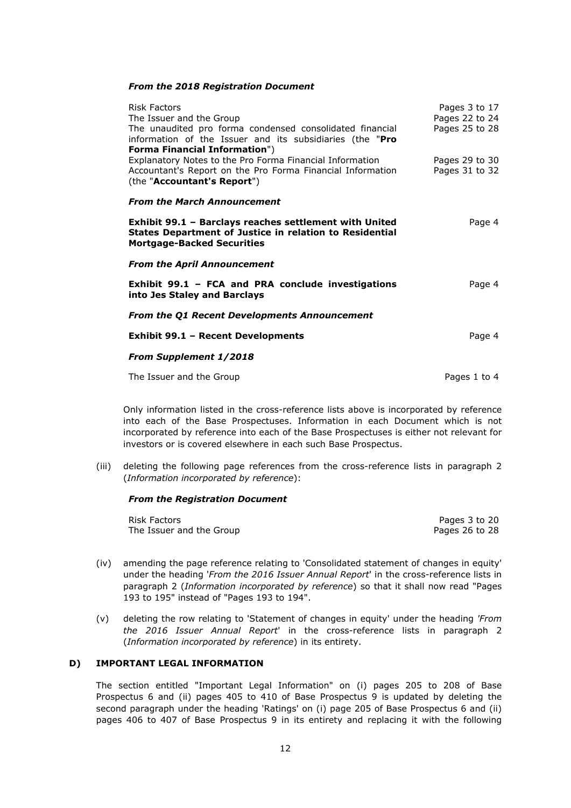#### *From the 2018 Registration Document*

| <b>Risk Factors</b><br>The Issuer and the Group<br>The unaudited pro forma condensed consolidated financial<br>information of the Issuer and its subsidiaries (the "Pro                       | Pages 3 to 17<br>Pages 22 to 24<br>Pages 25 to 28 |
|-----------------------------------------------------------------------------------------------------------------------------------------------------------------------------------------------|---------------------------------------------------|
| <b>Forma Financial Information")</b><br>Explanatory Notes to the Pro Forma Financial Information<br>Accountant's Report on the Pro Forma Financial Information<br>(the "Accountant's Report") | Pages 29 to 30<br>Pages 31 to 32                  |
| <b>From the March Announcement</b>                                                                                                                                                            |                                                   |
| Exhibit 99.1 - Barclays reaches settlement with United<br><b>States Department of Justice in relation to Residential</b><br><b>Mortgage-Backed Securities</b>                                 | Page 4                                            |
| <b>From the April Announcement</b>                                                                                                                                                            |                                                   |
| Exhibit 99.1 - FCA and PRA conclude investigations<br>into Jes Staley and Barclays                                                                                                            | Page 4                                            |
| <b>From the Q1 Recent Developments Announcement</b>                                                                                                                                           |                                                   |
| <b>Exhibit 99.1 - Recent Developments</b>                                                                                                                                                     | Page 4                                            |
| <b>From Supplement 1/2018</b>                                                                                                                                                                 |                                                   |
| The Issuer and the Group                                                                                                                                                                      | Pages 1 to 4                                      |

Only information listed in the cross-reference lists above is incorporated by reference into each of the Base Prospectuses. Information in each Document which is not incorporated by reference into each of the Base Prospectuses is either not relevant for investors or is covered elsewhere in each such Base Prospectus.

(iii) deleting the following page references from the cross-reference lists in paragraph 2 (*Information incorporated by reference*):

#### *From the Registration Document*

| Risk Factors             | Pages 3 to 20  |
|--------------------------|----------------|
| The Issuer and the Group | Pages 26 to 28 |

- (iv) amending the page reference relating to 'Consolidated statement of changes in equity' under the heading '*From the 2016 Issuer Annual Report*' in the cross-reference lists in paragraph 2 (*Information incorporated by reference*) so that it shall now read "Pages 193 to 195" instead of "Pages 193 to 194".
- (v) deleting the row relating to 'Statement of changes in equity' under the heading *'From the 2016 Issuer Annual Report*' in the cross-reference lists in paragraph 2 (*Information incorporated by reference*) in its entirety.

## **D) IMPORTANT LEGAL INFORMATION**

The section entitled "Important Legal Information" on (i) pages 205 to 208 of Base Prospectus 6 and (ii) pages 405 to 410 of Base Prospectus 9 is updated by deleting the second paragraph under the heading 'Ratings' on (i) page 205 of Base Prospectus 6 and (ii) pages 406 to 407 of Base Prospectus 9 in its entirety and replacing it with the following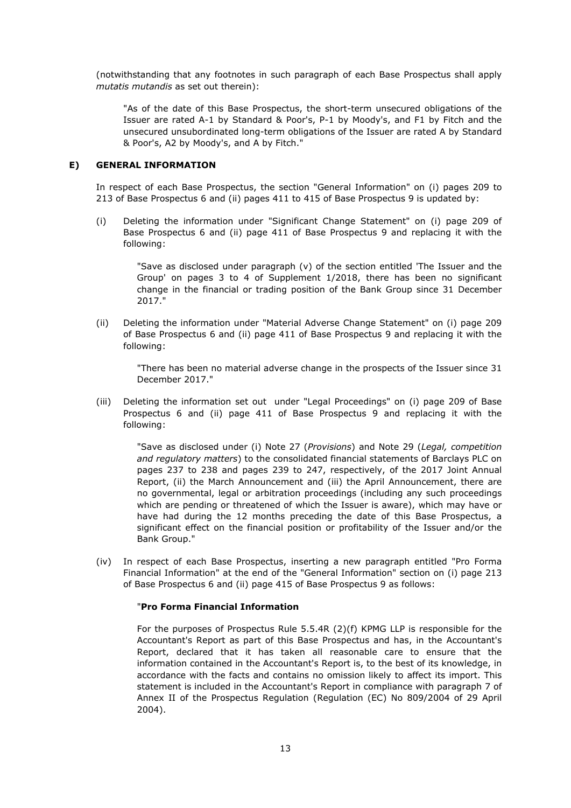(notwithstanding that any footnotes in such paragraph of each Base Prospectus shall apply *mutatis mutandis* as set out therein):

"As of the date of this Base Prospectus, the short-term unsecured obligations of the Issuer are rated A-1 by Standard & Poor's, P-1 by Moody's, and F1 by Fitch and the unsecured unsubordinated long-term obligations of the Issuer are rated A by Standard & Poor's, A2 by Moody's, and A by Fitch."

## **E) GENERAL INFORMATION**

In respect of each Base Prospectus, the section "General Information" on (i) pages 209 to 213 of Base Prospectus 6 and (ii) pages 411 to 415 of Base Prospectus 9 is updated by:

(i) Deleting the information under "Significant Change Statement" on (i) page 209 of Base Prospectus 6 and (ii) page 411 of Base Prospectus 9 and replacing it with the following:

> "Save as disclosed under paragraph  $(v)$  of the section entitled 'The Issuer and the Group' on pages 3 to 4 of Supplement 1/2018, there has been no significant change in the financial or trading position of the Bank Group since 31 December 2017."

(ii) Deleting the information under "Material Adverse Change Statement" on (i) page 209 of Base Prospectus 6 and (ii) page 411 of Base Prospectus 9 and replacing it with the following:

"There has been no material adverse change in the prospects of the Issuer since 31 December 2017."

(iii) Deleting the information set out under "Legal Proceedings" on (i) page 209 of Base Prospectus 6 and (ii) page 411 of Base Prospectus 9 and replacing it with the following:

"Save as disclosed under (i) Note 27 (*Provisions*) and Note 29 (*Legal, competition and regulatory matters*) to the consolidated financial statements of Barclays PLC on pages 237 to 238 and pages 239 to 247, respectively, of the 2017 Joint Annual Report, (ii) the March Announcement and (iii) the April Announcement, there are no governmental, legal or arbitration proceedings (including any such proceedings which are pending or threatened of which the Issuer is aware), which may have or have had during the 12 months preceding the date of this Base Prospectus, a significant effect on the financial position or profitability of the Issuer and/or the Bank Group."

(iv) In respect of each Base Prospectus, inserting a new paragraph entitled "Pro Forma Financial Information" at the end of the "General Information" section on (i) page 213 of Base Prospectus 6 and (ii) page 415 of Base Prospectus 9 as follows:

## "**Pro Forma Financial Information**

For the purposes of Prospectus Rule 5.5.4R (2)(f) KPMG LLP is responsible for the Accountant's Report as part of this Base Prospectus and has, in the Accountant's Report, declared that it has taken all reasonable care to ensure that the information contained in the Accountant's Report is, to the best of its knowledge, in accordance with the facts and contains no omission likely to affect its import. This statement is included in the Accountant's Report in compliance with paragraph 7 of Annex II of the Prospectus Regulation (Regulation (EC) No 809/2004 of 29 April 2004).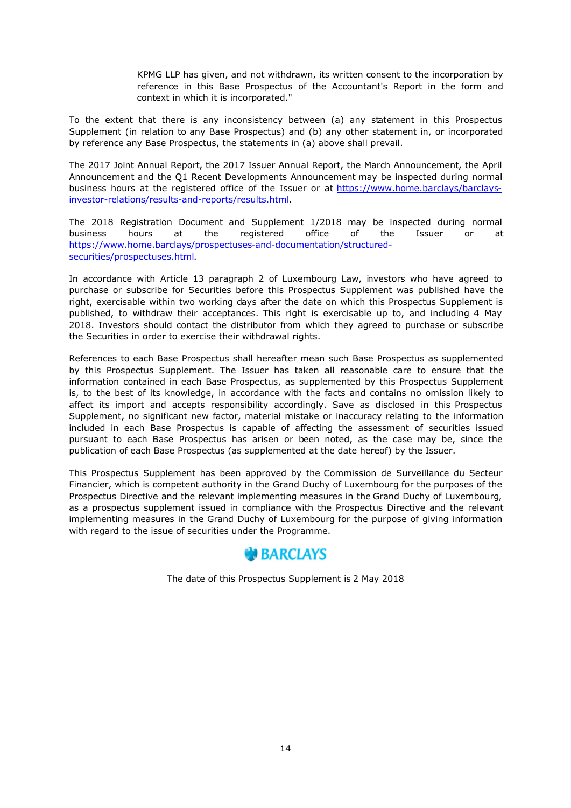KPMG LLP has given, and not withdrawn, its written consent to the incorporation by reference in this Base Prospectus of the Accountant's Report in the form and context in which it is incorporated."

To the extent that there is any inconsistency between (a) any statement in this Prospectus Supplement (in relation to any Base Prospectus) and (b) any other statement in, or incorporated by reference any Base Prospectus, the statements in (a) above shall prevail.

The 2017 Joint Annual Report, the 2017 Issuer Annual Report, the March Announcement, the April Announcement and the Q1 Recent Developments Announcement may be inspected during normal business hours at the registered office of the Issuer or at https://www.home.barclays/barclaysinvestor-relations/results-and-reports/results.html.

The 2018 Registration Document and Supplement 1/2018 may be inspected during normal business hours at the registered office of the Issuer or at https://www.home.barclays/prospectuses-and-documentation/structuredsecurities/prospectuses.html.

In accordance with Article 13 paragraph 2 of Luxembourg Law, investors who have agreed to purchase or subscribe for Securities before this Prospectus Supplement was published have the right, exercisable within two working days after the date on which this Prospectus Supplement is published, to withdraw their acceptances. This right is exercisable up to, and including 4 May 2018. Investors should contact the distributor from which they agreed to purchase or subscribe the Securities in order to exercise their withdrawal rights.

References to each Base Prospectus shall hereafter mean such Base Prospectus as supplemented by this Prospectus Supplement. The Issuer has taken all reasonable care to ensure that the information contained in each Base Prospectus, as supplemented by this Prospectus Supplement is, to the best of its knowledge, in accordance with the facts and contains no omission likely to affect its import and accepts responsibility accordingly. Save as disclosed in this Prospectus Supplement, no significant new factor, material mistake or inaccuracy relating to the information included in each Base Prospectus is capable of affecting the assessment of securities issued pursuant to each Base Prospectus has arisen or been noted, as the case may be, since the publication of each Base Prospectus (as supplemented at the date hereof) by the Issuer.

This Prospectus Supplement has been approved by the Commission de Surveillance du Secteur Financier, which is competent authority in the Grand Duchy of Luxembourg for the purposes of the Prospectus Directive and the relevant implementing measures in the Grand Duchy of Luxembourg, as a prospectus supplement issued in compliance with the Prospectus Directive and the relevant implementing measures in the Grand Duchy of Luxembourg for the purpose of giving information with regard to the issue of securities under the Programme.



The date of this Prospectus Supplement is 2 May 2018